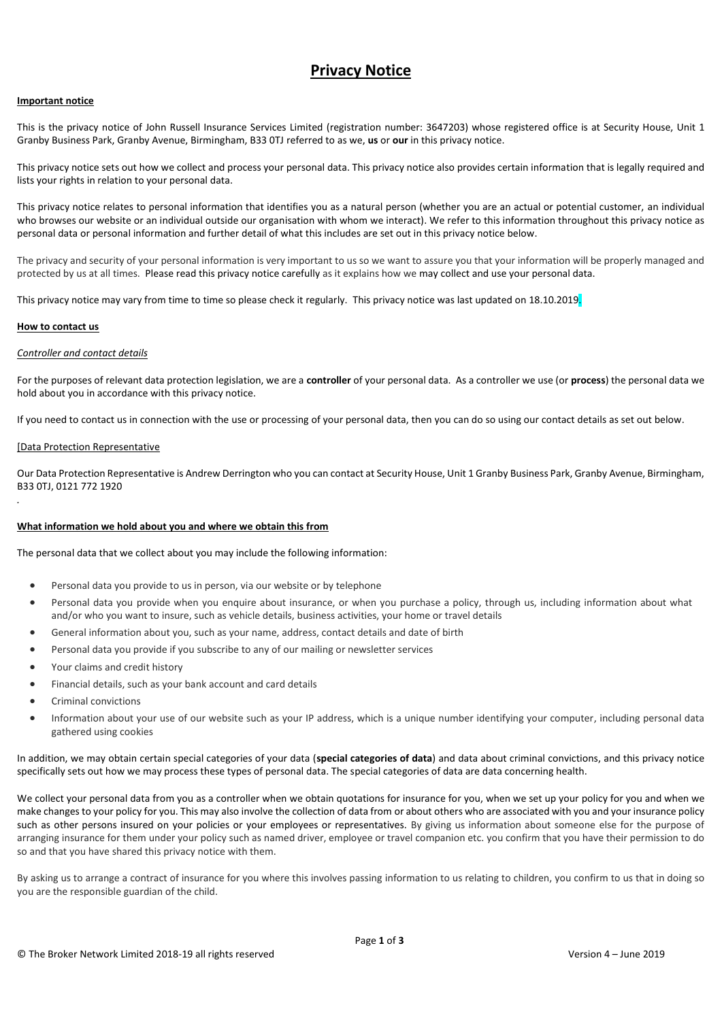# **Privacy Notice**

## **Important notice**

This is the privacy notice of John Russell Insurance Services Limited (registration number: 3647203) whose registered office is at Security House, Unit 1 Granby Business Park, Granby Avenue, Birmingham, B33 0TJ referred to as we, **us** or **our** in this privacy notice.

This privacy notice sets out how we collect and process your personal data. This privacy notice also provides certain information that is legally required and lists your rights in relation to your personal data.

This privacy notice relates to personal information that identifies you as a natural person (whether you are an actual or potential customer, an individual who browses our website or an individual outside our organisation with whom we interact). We refer to this information throughout this privacy notice as personal data or personal information and further detail of what this includes are set out in this privacy notice below.

The privacy and security of your personal information is very important to us so we want to assure you that your information will be properly managed and protected by us at all times. Please read this privacy notice carefully as it explains how we may collect and use your personal data.

This privacy notice may vary from time to time so please check it regularly. This privacy notice was last updated on 18.10.2019.

## **How to contact us**

*.*

# *Controller and contact details*

For the purposes of relevant data protection legislation, we are a **controller** of your personal data. As a controller we use (or **process**) the personal data we hold about you in accordance with this privacy notice.

If you need to contact us in connection with the use or processing of your personal data, then you can do so using our contact details as set out below.

#### [Data Protection Representative

Our Data Protection Representative is Andrew Derrington who you can contact at Security House, Unit 1 Granby Business Park, Granby Avenue, Birmingham, B33 0TJ, 0121 772 1920

#### **What information we hold about you and where we obtain this from**

The personal data that we collect about you may include the following information:

- Personal data you provide to us in person, via our website or by telephone
- Personal data you provide when you enquire about insurance, or when you purchase a policy, through us, including information about what and/or who you want to insure, such as vehicle details, business activities, your home or travel details
- General information about you, such as your name, address, contact details and date of birth
- Personal data you provide if you subscribe to any of our mailing or newsletter services
- Your claims and credit history
- Financial details, such as your bank account and card details
- Criminal convictions
- Information about your use of our website such as your IP address, which is a unique number identifying your computer, including personal data gathered using cookies

In addition, we may obtain certain special categories of your data (**special categories of data**) and data about criminal convictions, and this privacy notice specifically sets out how we may process these types of personal data. The special categories of data are data concerning health.

We collect your personal data from you as a controller when we obtain quotations for insurance for you, when we set up your policy for you and when we make changes to your policy for you. This may also involve the collection of data from or about others who are associated with you and your insurance policy such as other persons insured on your policies or your employees or representatives. By giving us information about someone else for the purpose of arranging insurance for them under your policy such as named driver, employee or travel companion etc. you confirm that you have their permission to do so and that you have shared this privacy notice with them.

By asking us to arrange a contract of insurance for you where this involves passing information to us relating to children, you confirm to us that in doing so you are the responsible guardian of the child.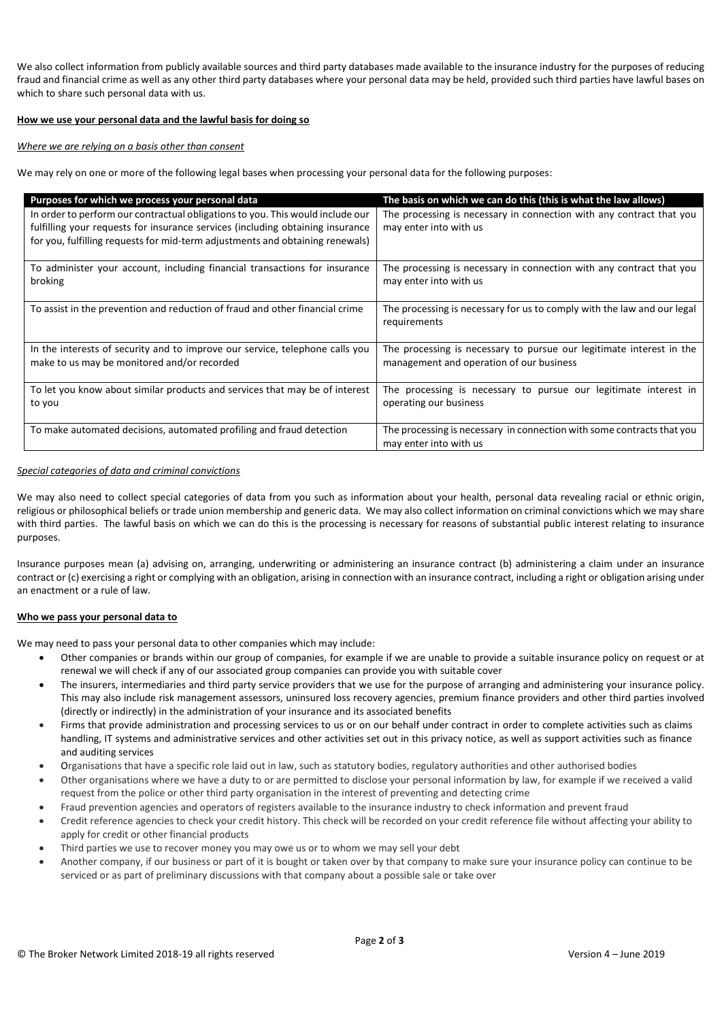We also collect information from publicly available sources and third party databases made available to the insurance industry for the purposes of reducing fraud and financial crime as well as any other third party databases where your personal data may be held, provided such third parties have lawful bases on which to share such personal data with us.

## **How we use your personal data and the lawful basis for doing so**

#### *Where we are relying on a basis other than consent*

We may rely on one or more of the following legal bases when processing your personal data for the following purposes:

| Purposes for which we process your personal data                               | The basis on which we can do this (this is what the law allows)         |
|--------------------------------------------------------------------------------|-------------------------------------------------------------------------|
| In order to perform our contractual obligations to you. This would include our | The processing is necessary in connection with any contract that you    |
| fulfilling your requests for insurance services (including obtaining insurance | may enter into with us                                                  |
| for you, fulfilling requests for mid-term adjustments and obtaining renewals)  |                                                                         |
| To administer your account, including financial transactions for insurance     | The processing is necessary in connection with any contract that you    |
| broking                                                                        | may enter into with us                                                  |
| To assist in the prevention and reduction of fraud and other financial crime   | The processing is necessary for us to comply with the law and our legal |
|                                                                                | requirements                                                            |
|                                                                                |                                                                         |
| In the interests of security and to improve our service, telephone calls you   | The processing is necessary to pursue our legitimate interest in the    |
| make to us may be monitored and/or recorded                                    | management and operation of our business                                |
|                                                                                |                                                                         |
| To let you know about similar products and services that may be of interest    | The processing is necessary to pursue our legitimate interest in        |
| to you                                                                         | operating our business                                                  |
| To make automated decisions, automated profiling and fraud detection           | The processing is necessary in connection with some contracts that you  |
|                                                                                | may enter into with us                                                  |

# *Special categories of data and criminal convictions*

We may also need to collect special categories of data from you such as information about your health, personal data revealing racial or ethnic origin, religious or philosophical beliefs or trade union membership and generic data. We may also collect information on criminal convictions which we may share with third parties. The lawful basis on which we can do this is the processing is necessary for reasons of substantial public interest relating to insurance purposes.

Insurance purposes mean (a) advising on, arranging, underwriting or administering an insurance contract (b) administering a claim under an insurance contract or (c) exercising a right or complying with an obligation, arising in connection with an insurance contract, including a right or obligation arising under an enactment or a rule of law.

#### **Who we pass your personal data to**

We may need to pass your personal data to other companies which may include:

- Other companies or brands within our group of companies, for example if we are unable to provide a suitable insurance policy on request or at renewal we will check if any of our associated group companies can provide you with suitable cover
- The insurers, intermediaries and third party service providers that we use for the purpose of arranging and administering your insurance policy. This may also include risk management assessors, uninsured loss recovery agencies, premium finance providers and other third parties involved (directly or indirectly) in the administration of your insurance and its associated benefits
- Firms that provide administration and processing services to us or on our behalf under contract in order to complete activities such as claims handling, IT systems and administrative services and other activities set out in this privacy notice, as well as support activities such as finance and auditing services
- Organisations that have a specific role laid out in law, such as statutory bodies, regulatory authorities and other authorised bodies
- Other organisations where we have a duty to or are permitted to disclose your personal information by law, for example if we received a valid request from the police or other third party organisation in the interest of preventing and detecting crime
- Fraud prevention agencies and operators of registers available to the insurance industry to check information and prevent fraud
- Credit reference agencies to check your credit history. This check will be recorded on your credit reference file without affecting your ability to apply for credit or other financial products
- Third parties we use to recover money you may owe us or to whom we may sell your debt
- Another company, if our business or part of it is bought or taken over by that company to make sure your insurance policy can continue to be serviced or as part of preliminary discussions with that company about a possible sale or take over